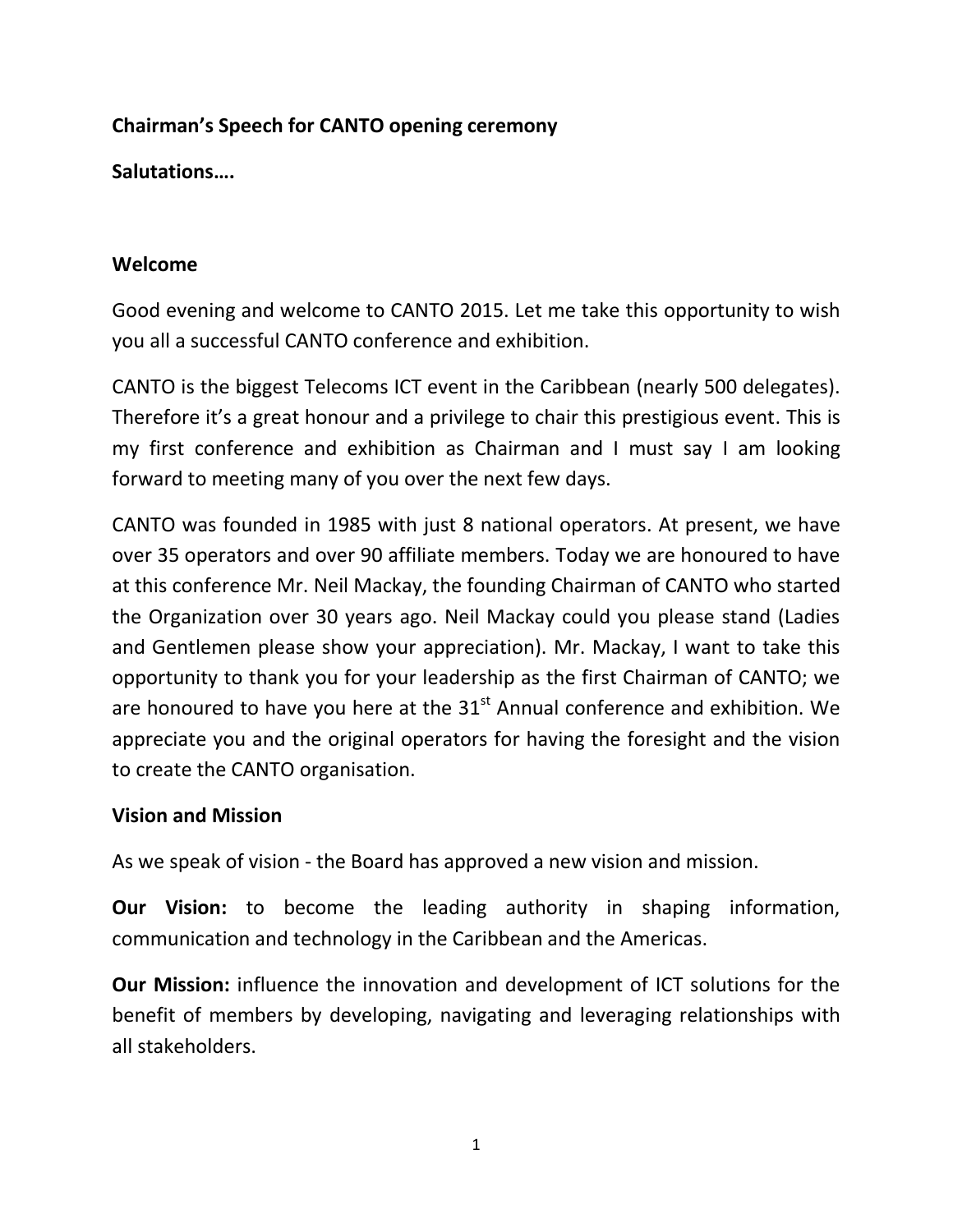## **Chairman's Speech for CANTO opening ceremony**

**Salutations….**

### **Welcome**

Good evening and welcome to CANTO 2015. Let me take this opportunity to wish you all a successful CANTO conference and exhibition.

CANTO is the biggest Telecoms ICT event in the Caribbean (nearly 500 delegates). Therefore it's a great honour and a privilege to chair this prestigious event. This is my first conference and exhibition as Chairman and I must say I am looking forward to meeting many of you over the next few days.

CANTO was founded in 1985 with just 8 national operators. At present, we have over 35 operators and over 90 affiliate members. Today we are honoured to have at this conference Mr. Neil Mackay, the founding Chairman of CANTO who started the Organization over 30 years ago. Neil Mackay could you please stand (Ladies and Gentlemen please show your appreciation). Mr. Mackay, I want to take this opportunity to thank you for your leadership as the first Chairman of CANTO; we are honoured to have you here at the  $31<sup>st</sup>$  Annual conference and exhibition. We appreciate you and the original operators for having the foresight and the vision to create the CANTO organisation.

#### **Vision and Mission**

As we speak of vision - the Board has approved a new vision and mission.

**Our Vision:** to become the leading authority in shaping information, communication and technology in the Caribbean and the Americas.

**Our Mission:** influence the innovation and development of ICT solutions for the benefit of members by developing, navigating and leveraging relationships with all stakeholders.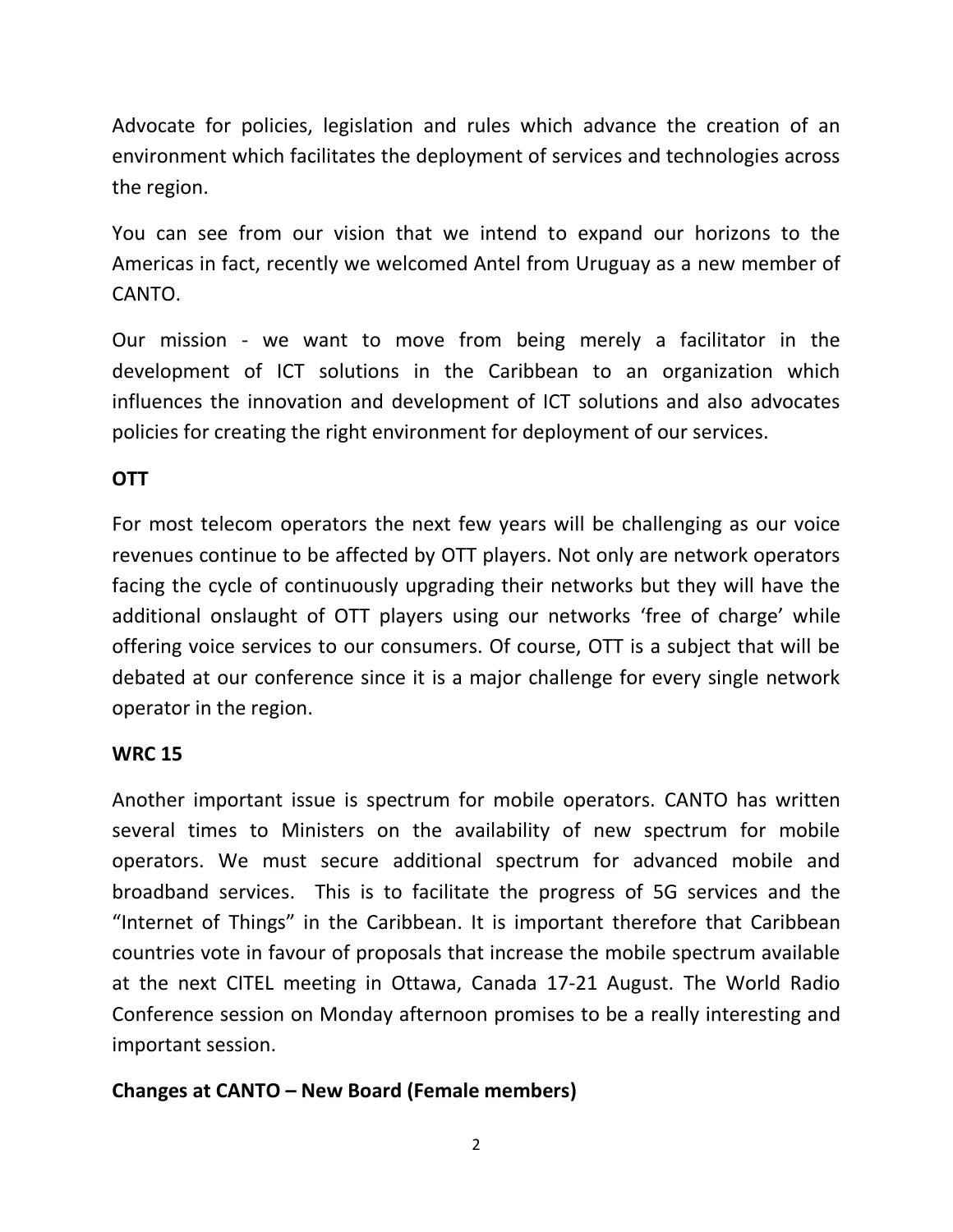Advocate for policies, legislation and rules which advance the creation of an environment which facilitates the deployment of services and technologies across the region.

You can see from our vision that we intend to expand our horizons to the Americas in fact, recently we welcomed Antel from Uruguay as a new member of CANTO.

Our mission - we want to move from being merely a facilitator in the development of ICT solutions in the Caribbean to an organization which influences the innovation and development of ICT solutions and also advocates policies for creating the right environment for deployment of our services.

## **OTT**

For most telecom operators the next few years will be challenging as our voice revenues continue to be affected by OTT players. Not only are network operators facing the cycle of continuously upgrading their networks but they will have the additional onslaught of OTT players using our networks 'free of charge' while offering voice services to our consumers. Of course, OTT is a subject that will be debated at our conference since it is a major challenge for every single network operator in the region.

## **WRC 15**

Another important issue is spectrum for mobile operators. CANTO has written several times to Ministers on the availability of new spectrum for mobile operators. We must secure additional spectrum for advanced mobile and broadband services. This is to facilitate the progress of 5G services and the "Internet of Things" in the Caribbean. It is important therefore that Caribbean countries vote in favour of proposals that increase the mobile spectrum available at the next CITEL meeting in Ottawa, Canada 17-21 August. The World Radio Conference session on Monday afternoon promises to be a really interesting and important session.

# **Changes at CANTO – New Board (Female members)**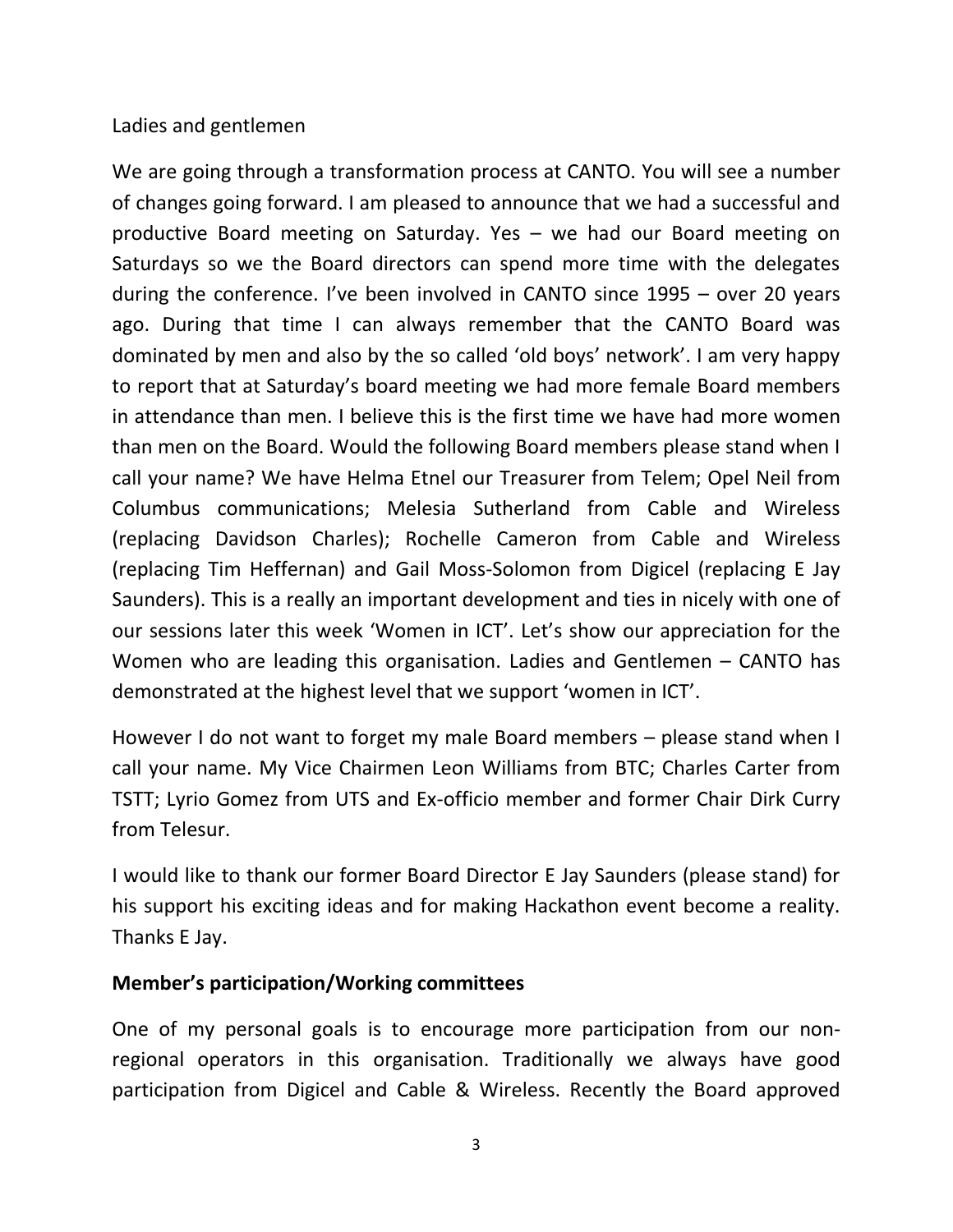#### Ladies and gentlemen

We are going through a transformation process at CANTO. You will see a number of changes going forward. I am pleased to announce that we had a successful and productive Board meeting on Saturday. Yes – we had our Board meeting on Saturdays so we the Board directors can spend more time with the delegates during the conference. I've been involved in CANTO since 1995 – over 20 years ago. During that time I can always remember that the CANTO Board was dominated by men and also by the so called 'old boys' network'. I am very happy to report that at Saturday's board meeting we had more female Board members in attendance than men. I believe this is the first time we have had more women than men on the Board. Would the following Board members please stand when I call your name? We have Helma Etnel our Treasurer from Telem; Opel Neil from Columbus communications; Melesia Sutherland from Cable and Wireless (replacing Davidson Charles); Rochelle Cameron from Cable and Wireless (replacing Tim Heffernan) and Gail Moss-Solomon from Digicel (replacing E Jay Saunders). This is a really an important development and ties in nicely with one of our sessions later this week 'Women in ICT'. Let's show our appreciation for the Women who are leading this organisation. Ladies and Gentlemen – CANTO has demonstrated at the highest level that we support 'women in ICT'.

However I do not want to forget my male Board members – please stand when I call your name. My Vice Chairmen Leon Williams from BTC; Charles Carter from TSTT; Lyrio Gomez from UTS and Ex-officio member and former Chair Dirk Curry from Telesur.

I would like to thank our former Board Director E Jay Saunders (please stand) for his support his exciting ideas and for making Hackathon event become a reality. Thanks E Jay.

#### **Member's participation/Working committees**

One of my personal goals is to encourage more participation from our nonregional operators in this organisation. Traditionally we always have good participation from Digicel and Cable & Wireless. Recently the Board approved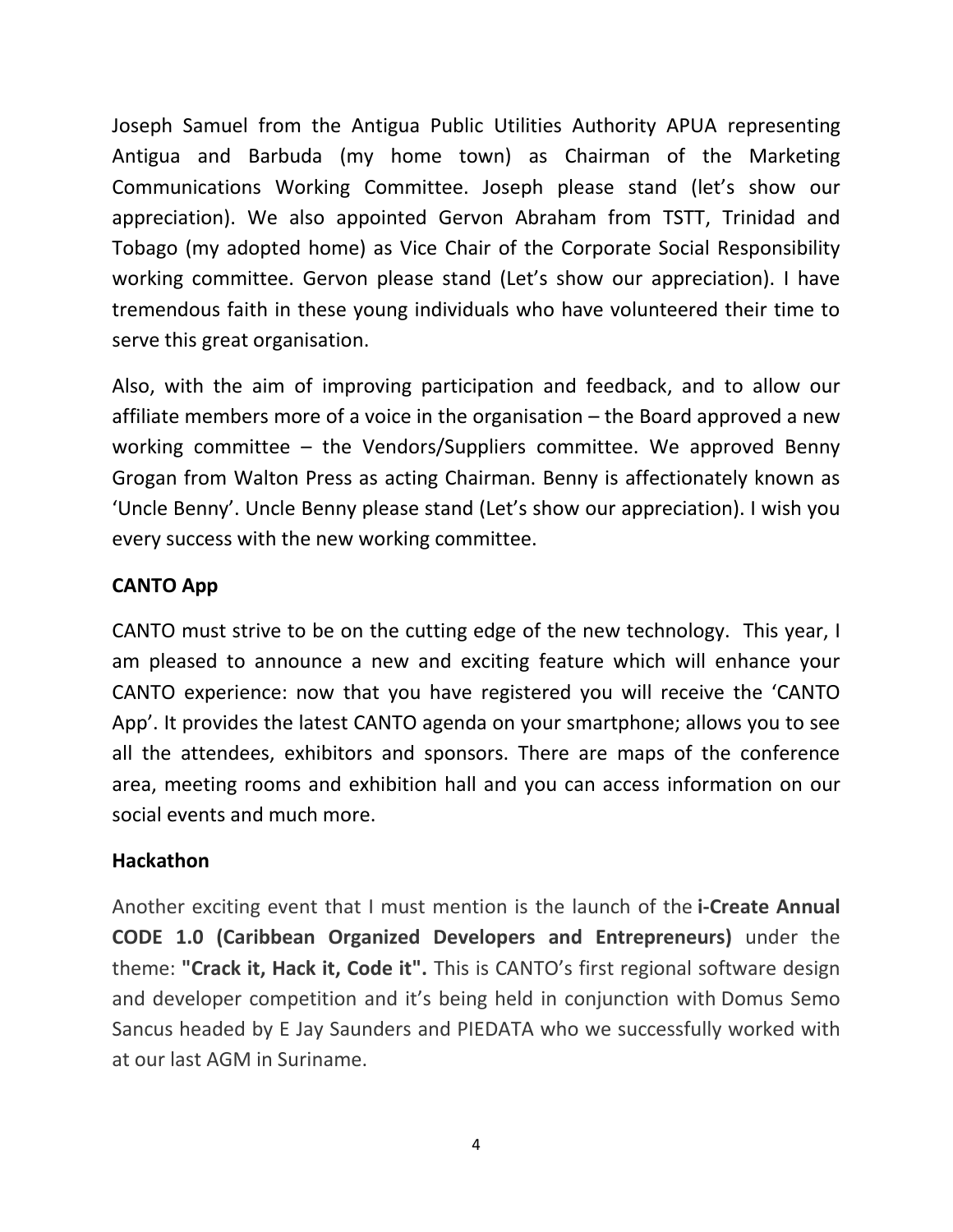Joseph Samuel from the Antigua Public Utilities Authority APUA representing Antigua and Barbuda (my home town) as Chairman of the Marketing Communications Working Committee. Joseph please stand (let's show our appreciation). We also appointed Gervon Abraham from TSTT, Trinidad and Tobago (my adopted home) as Vice Chair of the Corporate Social Responsibility working committee. Gervon please stand (Let's show our appreciation). I have tremendous faith in these young individuals who have volunteered their time to serve this great organisation.

Also, with the aim of improving participation and feedback, and to allow our affiliate members more of a voice in the organisation – the Board approved a new working committee – the Vendors/Suppliers committee. We approved Benny Grogan from Walton Press as acting Chairman. Benny is affectionately known as 'Uncle Benny'. Uncle Benny please stand (Let's show our appreciation). I wish you every success with the new working committee.

#### **CANTO App**

CANTO must strive to be on the cutting edge of the new technology. This year, I am pleased to announce a new and exciting feature which will enhance your CANTO experience: now that you have registered you will receive the 'CANTO App'. It provides the latest CANTO agenda on your smartphone; allows you to see all the attendees, exhibitors and sponsors. There are maps of the conference area, meeting rooms and exhibition hall and you can access information on our social events and much more.

#### **Hackathon**

Another exciting event that I must mention is the launch of the **i-Create Annual CODE 1.0 (Caribbean Organized Developers and Entrepreneurs)** under the theme: **"Crack it, Hack it, Code it".** This is CANTO's first regional software design and developer competition and it's being held in conjunction with Domus Semo Sancus headed by E Jay Saunders and PIEDATA who we successfully worked with at our last AGM in Suriname.